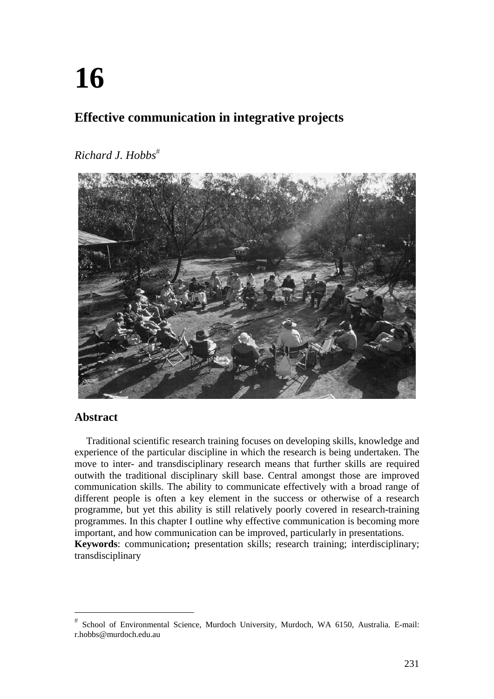# **16**

# **Effective communication in integrative projects**

# *Richard J. Hobbs*



# **Abstract**

Traditional scientific research training focuses on developing skills, knowledge and experience of the particular discipline in which the research is being undertaken. The move to inter- and transdisciplinary research means that further skills are required outwith the traditional disciplinary skill base. Central amongst those are improved communication skills. The ability to communicate effectively with a broad range of different people is often a key element in the success or otherwise of a research programme, but yet this ability is still relatively poorly covered in research-training programmes. In this chapter I outline why effective communication is becoming more important, and how communication can be improved, particularly in presentations. **Keywords**: communication**;** presentation skills; research training; interdisciplinary; transdisciplinary

School of Environmental Science, Murdoch University, Murdoch, WA 6150, Australia. E-mail: r.hobbs@murdoch.edu.au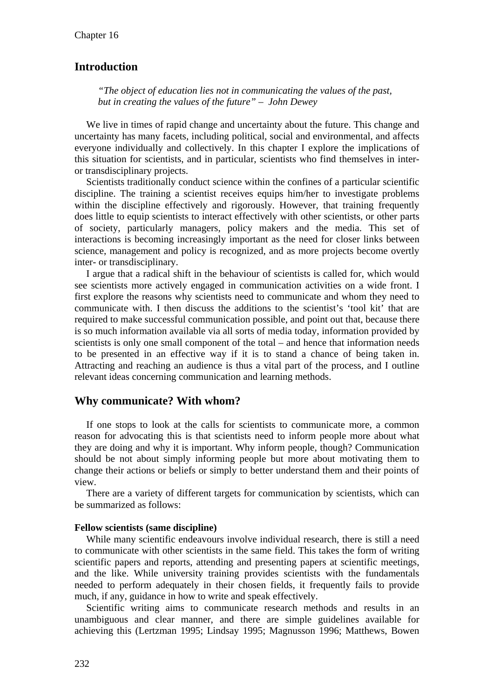## **Introduction**

*"The object of education lies not in communicating the values of the past, but in creating the values of the future" – John Dewey* 

We live in times of rapid change and uncertainty about the future. This change and uncertainty has many facets, including political, social and environmental, and affects everyone individually and collectively. In this chapter I explore the implications of this situation for scientists, and in particular, scientists who find themselves in interor transdisciplinary projects.

Scientists traditionally conduct science within the confines of a particular scientific discipline. The training a scientist receives equips him/her to investigate problems within the discipline effectively and rigorously. However, that training frequently does little to equip scientists to interact effectively with other scientists, or other parts of society, particularly managers, policy makers and the media. This set of interactions is becoming increasingly important as the need for closer links between science, management and policy is recognized, and as more projects become overtly inter- or transdisciplinary.

I argue that a radical shift in the behaviour of scientists is called for, which would see scientists more actively engaged in communication activities on a wide front. I first explore the reasons why scientists need to communicate and whom they need to communicate with. I then discuss the additions to the scientist's 'tool kit' that are required to make successful communication possible, and point out that, because there is so much information available via all sorts of media today, information provided by scientists is only one small component of the total – and hence that information needs to be presented in an effective way if it is to stand a chance of being taken in. Attracting and reaching an audience is thus a vital part of the process, and I outline relevant ideas concerning communication and learning methods.

#### **Why communicate? With whom?**

If one stops to look at the calls for scientists to communicate more, a common reason for advocating this is that scientists need to inform people more about what they are doing and why it is important. Why inform people, though? Communication should be not about simply informing people but more about motivating them to change their actions or beliefs or simply to better understand them and their points of view.

There are a variety of different targets for communication by scientists, which can be summarized as follows:

#### **Fellow scientists (same discipline)**

While many scientific endeavours involve individual research, there is still a need to communicate with other scientists in the same field. This takes the form of writing scientific papers and reports, attending and presenting papers at scientific meetings, and the like. While university training provides scientists with the fundamentals needed to perform adequately in their chosen fields, it frequently fails to provide much, if any, guidance in how to write and speak effectively.

Scientific writing aims to communicate research methods and results in an unambiguous and clear manner, and there are simple guidelines available for achieving this (Lertzman 1995; Lindsay 1995; Magnusson 1996; Matthews, Bowen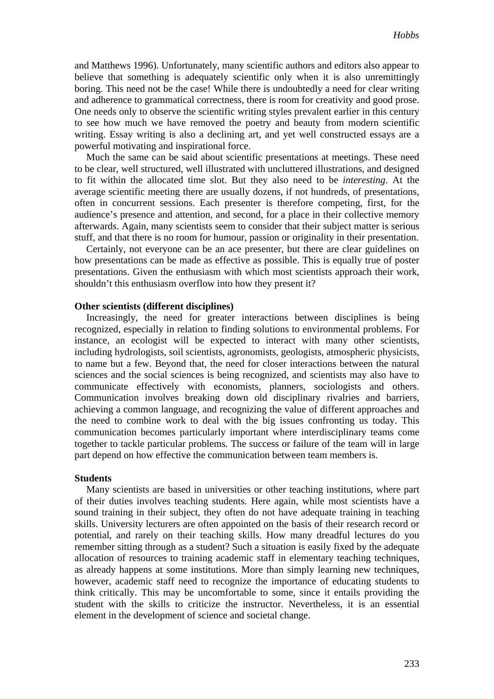and Matthews 1996). Unfortunately, many scientific authors and editors also appear to believe that something is adequately scientific only when it is also unremittingly boring. This need not be the case! While there is undoubtedly a need for clear writing and adherence to grammatical correctness, there is room for creativity and good prose. One needs only to observe the scientific writing styles prevalent earlier in this century to see how much we have removed the poetry and beauty from modern scientific writing. Essay writing is also a declining art, and yet well constructed essays are a powerful motivating and inspirational force.

Much the same can be said about scientific presentations at meetings. These need to be clear, well structured, well illustrated with uncluttered illustrations, and designed to fit within the allocated time slot. But they also need to be *interesting*. At the average scientific meeting there are usually dozens, if not hundreds, of presentations, often in concurrent sessions. Each presenter is therefore competing, first, for the audience's presence and attention, and second, for a place in their collective memory afterwards. Again, many scientists seem to consider that their subject matter is serious stuff, and that there is no room for humour, passion or originality in their presentation.

Certainly, not everyone can be an ace presenter, but there are clear guidelines on how presentations can be made as effective as possible. This is equally true of poster presentations. Given the enthusiasm with which most scientists approach their work, shouldn't this enthusiasm overflow into how they present it?

#### **Other scientists (different disciplines)**

Increasingly, the need for greater interactions between disciplines is being recognized, especially in relation to finding solutions to environmental problems. For instance, an ecologist will be expected to interact with many other scientists, including hydrologists, soil scientists, agronomists, geologists, atmospheric physicists, to name but a few. Beyond that, the need for closer interactions between the natural sciences and the social sciences is being recognized, and scientists may also have to communicate effectively with economists, planners, sociologists and others. Communication involves breaking down old disciplinary rivalries and barriers, achieving a common language, and recognizing the value of different approaches and the need to combine work to deal with the big issues confronting us today. This communication becomes particularly important where interdisciplinary teams come together to tackle particular problems. The success or failure of the team will in large part depend on how effective the communication between team members is.

#### **Students**

Many scientists are based in universities or other teaching institutions, where part of their duties involves teaching students. Here again, while most scientists have a sound training in their subject, they often do not have adequate training in teaching skills. University lecturers are often appointed on the basis of their research record or potential, and rarely on their teaching skills. How many dreadful lectures do you remember sitting through as a student? Such a situation is easily fixed by the adequate allocation of resources to training academic staff in elementary teaching techniques, as already happens at some institutions. More than simply learning new techniques, however, academic staff need to recognize the importance of educating students to think critically. This may be uncomfortable to some, since it entails providing the student with the skills to criticize the instructor. Nevertheless, it is an essential element in the development of science and societal change.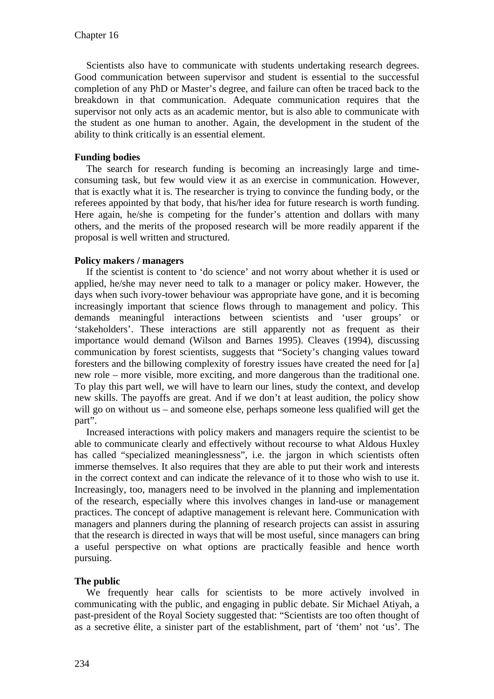Scientists also have to communicate with students undertaking research degrees. Good communication between supervisor and student is essential to the successful completion of any PhD or Master's degree, and failure can often be traced back to the breakdown in that communication. Adequate communication requires that the supervisor not only acts as an academic mentor, but is also able to communicate with the student as one human to another. Again, the development in the student of the ability to think critically is an essential element.

#### **Funding bodies**

The search for research funding is becoming an increasingly large and timeconsuming task, but few would view it as an exercise in communication. However, that is exactly what it is. The researcher is trying to convince the funding body, or the referees appointed by that body, that his/her idea for future research is worth funding. Here again, he/she is competing for the funder's attention and dollars with many others, and the merits of the proposed research will be more readily apparent if the proposal is well written and structured.

#### **Policy makers / managers**

If the scientist is content to 'do science' and not worry about whether it is used or applied, he/she may never need to talk to a manager or policy maker. However, the days when such ivory-tower behaviour was appropriate have gone, and it is becoming increasingly important that science flows through to management and policy. This demands meaningful interactions between scientists and 'user groups' or 'stakeholders'. These interactions are still apparently not as frequent as their importance would demand (Wilson and Barnes 1995). Cleaves (1994), discussing communication by forest scientists, suggests that "Society's changing values toward foresters and the billowing complexity of forestry issues have created the need for [a] new role – more visible, more exciting, and more dangerous than the traditional one. To play this part well, we will have to learn our lines, study the context, and develop new skills. The payoffs are great. And if we don't at least audition, the policy show will go on without us – and someone else, perhaps someone less qualified will get the part".

Increased interactions with policy makers and managers require the scientist to be able to communicate clearly and effectively without recourse to what Aldous Huxley has called "specialized meaninglessness", i.e. the jargon in which scientists often immerse themselves. It also requires that they are able to put their work and interests in the correct context and can indicate the relevance of it to those who wish to use it. Increasingly, too, managers need to be involved in the planning and implementation of the research, especially where this involves changes in land-use or management practices. The concept of adaptive management is relevant here. Communication with managers and planners during the planning of research projects can assist in assuring that the research is directed in ways that will be most useful, since managers can bring a useful perspective on what options are practically feasible and hence worth pursuing.

#### **The public**

We frequently hear calls for scientists to be more actively involved in communicating with the public, and engaging in public debate. Sir Michael Atiyah, a past-president of the Royal Society suggested that: "Scientists are too often thought of as a secretive élite, a sinister part of the establishment, part of 'them' not 'us'. The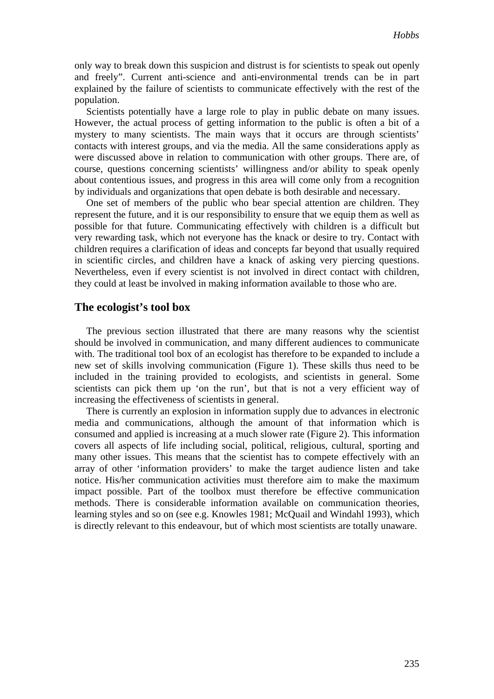only way to break down this suspicion and distrust is for scientists to speak out openly and freely". Current anti-science and anti-environmental trends can be in part explained by the failure of scientists to communicate effectively with the rest of the population.

Scientists potentially have a large role to play in public debate on many issues. However, the actual process of getting information to the public is often a bit of a mystery to many scientists. The main ways that it occurs are through scientists' contacts with interest groups, and via the media. All the same considerations apply as were discussed above in relation to communication with other groups. There are, of course, questions concerning scientists' willingness and/or ability to speak openly about contentious issues, and progress in this area will come only from a recognition by individuals and organizations that open debate is both desirable and necessary.

One set of members of the public who bear special attention are children. They represent the future, and it is our responsibility to ensure that we equip them as well as possible for that future. Communicating effectively with children is a difficult but very rewarding task, which not everyone has the knack or desire to try. Contact with children requires a clarification of ideas and concepts far beyond that usually required in scientific circles, and children have a knack of asking very piercing questions. Nevertheless, even if every scientist is not involved in direct contact with children, they could at least be involved in making information available to those who are.

#### **The ecologist's tool box**

The previous section illustrated that there are many reasons why the scientist should be involved in communication, and many different audiences to communicate with. The traditional tool box of an ecologist has therefore to be expanded to include a new set of skills involving communication (Figure 1). These skills thus need to be included in the training provided to ecologists, and scientists in general. Some scientists can pick them up 'on the run', but that is not a very efficient way of increasing the effectiveness of scientists in general.

There is currently an explosion in information supply due to advances in electronic media and communications, although the amount of that information which is consumed and applied is increasing at a much slower rate (Figure 2). This information covers all aspects of life including social, political, religious, cultural, sporting and many other issues. This means that the scientist has to compete effectively with an array of other 'information providers' to make the target audience listen and take notice. His/her communication activities must therefore aim to make the maximum impact possible. Part of the toolbox must therefore be effective communication methods. There is considerable information available on communication theories, learning styles and so on (see e.g. Knowles 1981; McQuail and Windahl 1993), which is directly relevant to this endeavour, but of which most scientists are totally unaware.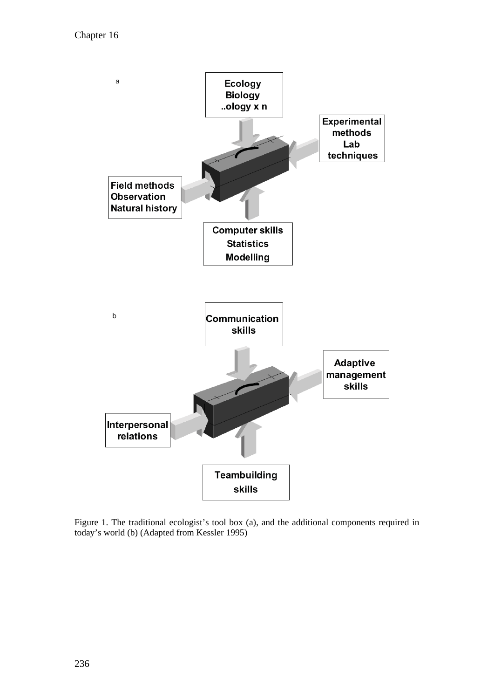

Figure 1. The traditional ecologist's tool box (a), and the additional components required in today's world (b) (Adapted from Kessler 1995)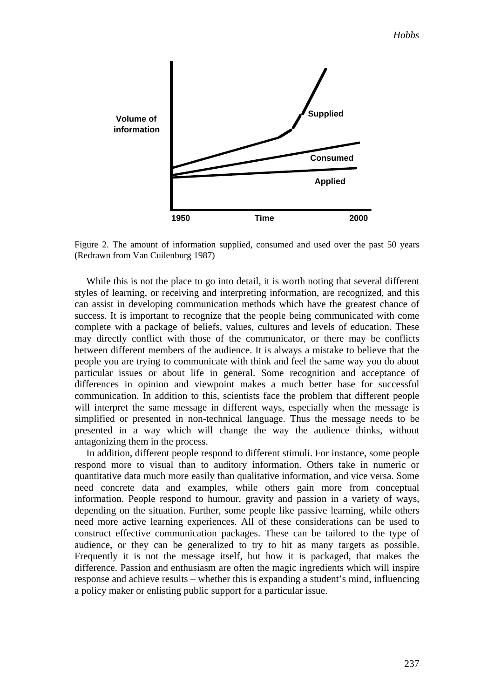

Figure 2. The amount of information supplied, consumed and used over the past 50 years (Redrawn from Van Cuilenburg 1987)

While this is not the place to go into detail, it is worth noting that several different styles of learning, or receiving and interpreting information, are recognized, and this can assist in developing communication methods which have the greatest chance of success. It is important to recognize that the people being communicated with come complete with a package of beliefs, values, cultures and levels of education. These may directly conflict with those of the communicator, or there may be conflicts between different members of the audience. It is always a mistake to believe that the people you are trying to communicate with think and feel the same way you do about particular issues or about life in general. Some recognition and acceptance of differences in opinion and viewpoint makes a much better base for successful communication. In addition to this, scientists face the problem that different people will interpret the same message in different ways, especially when the message is simplified or presented in non-technical language. Thus the message needs to be presented in a way which will change the way the audience thinks, without antagonizing them in the process.

In addition, different people respond to different stimuli. For instance, some people respond more to visual than to auditory information. Others take in numeric or quantitative data much more easily than qualitative information, and vice versa. Some need concrete data and examples, while others gain more from conceptual information. People respond to humour, gravity and passion in a variety of ways, depending on the situation. Further, some people like passive learning, while others need more active learning experiences. All of these considerations can be used to construct effective communication packages. These can be tailored to the type of audience, or they can be generalized to try to hit as many targets as possible. Frequently it is not the message itself, but how it is packaged, that makes the difference. Passion and enthusiasm are often the magic ingredients which will inspire response and achieve results – whether this is expanding a student's mind, influencing a policy maker or enlisting public support for a particular issue.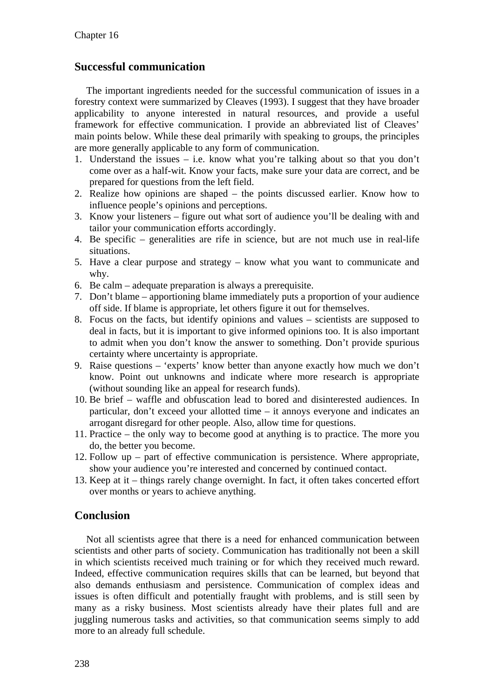## **Successful communication**

The important ingredients needed for the successful communication of issues in a forestry context were summarized by Cleaves (1993). I suggest that they have broader applicability to anyone interested in natural resources, and provide a useful framework for effective communication. I provide an abbreviated list of Cleaves' main points below. While these deal primarily with speaking to groups, the principles are more generally applicable to any form of communication.

- 1. Understand the issues i.e. know what you're talking about so that you don't come over as a half-wit. Know your facts, make sure your data are correct, and be prepared for questions from the left field.
- 2. Realize how opinions are shaped the points discussed earlier. Know how to influence people's opinions and perceptions.
- 3. Know your listeners figure out what sort of audience you'll be dealing with and tailor your communication efforts accordingly.
- 4. Be specific generalities are rife in science, but are not much use in real-life situations.
- 5. Have a clear purpose and strategy know what you want to communicate and why.
- 6. Be calm adequate preparation is always a prerequisite.
- 7. Don't blame apportioning blame immediately puts a proportion of your audience off side. If blame is appropriate, let others figure it out for themselves.
- 8. Focus on the facts, but identify opinions and values scientists are supposed to deal in facts, but it is important to give informed opinions too. It is also important to admit when you don't know the answer to something. Don't provide spurious certainty where uncertainty is appropriate.
- 9. Raise questions 'experts' know better than anyone exactly how much we don't know. Point out unknowns and indicate where more research is appropriate (without sounding like an appeal for research funds).
- 10. Be brief waffle and obfuscation lead to bored and disinterested audiences. In particular, don't exceed your allotted time – it annoys everyone and indicates an arrogant disregard for other people. Also, allow time for questions.
- 11. Practice the only way to become good at anything is to practice. The more you do, the better you become.
- 12. Follow up part of effective communication is persistence. Where appropriate, show your audience you're interested and concerned by continued contact.
- 13. Keep at it things rarely change overnight. In fact, it often takes concerted effort over months or years to achieve anything.

## **Conclusion**

Not all scientists agree that there is a need for enhanced communication between scientists and other parts of society. Communication has traditionally not been a skill in which scientists received much training or for which they received much reward. Indeed, effective communication requires skills that can be learned, but beyond that also demands enthusiasm and persistence. Communication of complex ideas and issues is often difficult and potentially fraught with problems, and is still seen by many as a risky business. Most scientists already have their plates full and are juggling numerous tasks and activities, so that communication seems simply to add more to an already full schedule.